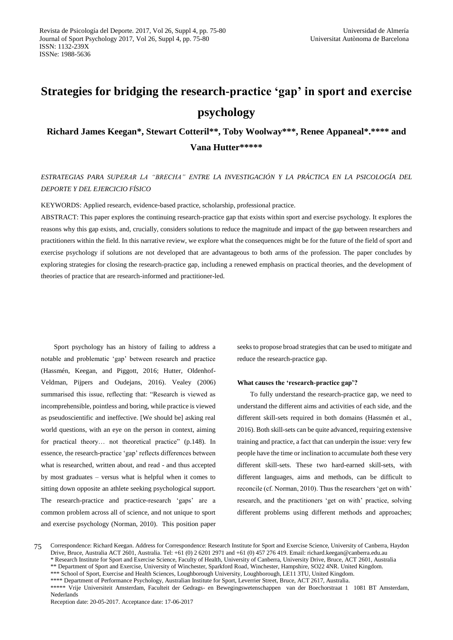# **Strategies for bridging the research-practice 'gap' in sport and exercise psychology**

**Richard James Keegan\*, Stewart Cotteril\*\*, Toby Woolway\*\*\*, Renee Appaneal\*.\*\*\*\* and Vana Hutter\*\*\*\*\***

# *ESTRATEGIAS PARA SUPERAR LA "BRECHA" ENTRE LA INVESTIGACIÓN Y LA PRÁCTICA EN LA PSICOLOGÍA DEL DEPORTE Y DEL EJERCICIO FÍSICO*

KEYWORDS: Applied research, evidence-based practice, scholarship, professional practice.

ABSTRACT: This paper explores the continuing research-practice gap that exists within sport and exercise psychology. It explores the reasons why this gap exists, and, crucially, considers solutions to reduce the magnitude and impact of the gap between researchers and practitioners within the field. In this narrative review, we explore what the consequences might be for the future of the field of sport and exercise psychology if solutions are not developed that are advantageous to both arms of the profession. The paper concludes by exploring strategies for closing the research-practice gap, including a renewed emphasis on practical theories, and the development of theories of practice that are research-informed and practitioner-led.

Sport psychology has an history of failing to address a notable and problematic 'gap' between research and practice (Hassmén, Keegan, and Piggott, 2016; Hutter, Oldenhof-Veldman, Pijpers and Oudejans, 2016). Vealey (2006) summarised this issue, reflecting that: "Research is viewed as incomprehensible, pointless and boring, while practice is viewed as pseudoscientific and ineffective. [We should be] asking real world questions, with an eye on the person in context, aiming for practical theory… not theoretical practice" (p.148). In essence, the research-practice 'gap' reflects differences between what is researched, written about, and read - and thus accepted by most graduates – versus what is helpful when it comes to sitting down opposite an athlete seeking psychological support. The research-practice and practice-research 'gaps' are a common problem across all of science, and not unique to sport and exercise psychology (Norman, 2010). This position paper

seeks to propose broad strategies that can be used to mitigate and reduce the research-practice gap.

#### **What causes the 'research-practice gap'?**

To fully understand the research-practice gap, we need to understand the different aims and activities of each side, and the different skill-sets required in both domains (Hassmén et al., 2016). Both skill-sets can be quite advanced, requiring extensive training and practice, a fact that can underpin the issue: very few people have the time or inclination to accumulate *both* these very different skill-sets. These two hard-earned skill-sets, with different languages, aims and methods, can be difficult to reconcile (cf. Norman, 2010). Thus the researchers 'get on with' research, and the practitioners 'get on with' practice, solving different problems using different methods and approaches;

75 Correspondence: Richard Keegan. Address for Correspondence: Research Institute for Sport and Exercise Science, University of Canberra, Haydon Drive, Bruce, Australia ACT 2601, Australia. Tel: +61 (0) 2 6201 2971 and +61 (0) 457 276 419. Email: richard.keegan@canberra.edu.au \* Research Institute for Sport and Exercise Science, Faculty of Health, University of Canberra, University Drive, Bruce, ACT 2601, Australia \*\* Department of Sport and Exercise, University of Winchester, Sparkford Road, Winchester, Hampshire, SO22 4NR. United Kingdom.

\*\*\* School of Sport, Exercise and Health Sciences, Loughborough University, Loughborough, LE11 3TU, United Kingdom.

\*\*\*\* Department of Performance Psychology, Australian Institute for Sport, Leverrier Street, Bruce, ACT 2617, Australia.

\*\*\*\*\* Vrije Universiteit Amsterdam, Faculteit der Gedrags- en Bewegingswetenschappen van der Boechorstraat 1 1081 BT Amsterdam, Nederlands

Reception date: 20-05-2017. Acceptance date: 17-06-2017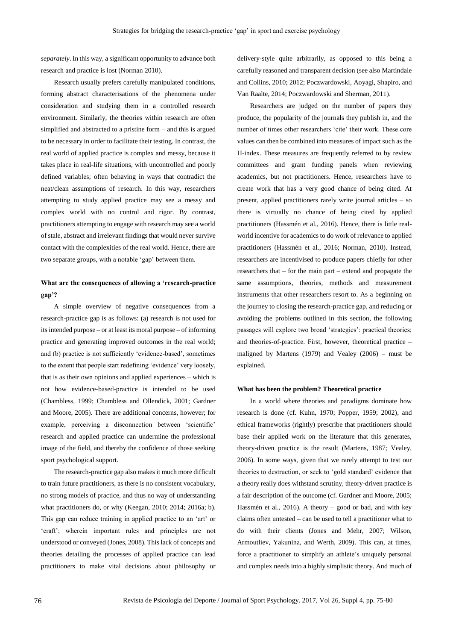*separately*. In this way, a significant opportunity to advance both research and practice is lost (Norman 2010).

Research usually prefers carefully manipulated conditions, forming abstract characterisations of the phenomena under consideration and studying them in a controlled research environment. Similarly, the theories within research are often simplified and abstracted to a pristine form – and this is argued to be necessary in order to facilitate their testing. In contrast, the real world of applied practice is complex and messy, because it takes place in real-life situations, with uncontrolled and poorly defined variables; often behaving in ways that contradict the neat/clean assumptions of research. In this way, researchers attempting to study applied practice may see a messy and complex world with no control and rigor. By contrast, practitioners attempting to engage with research may see a world of stale, abstract and irrelevant findings that would never survive contact with the complexities of the real world. Hence, there are two separate groups, with a notable 'gap' between them.

## **What are the consequences of allowing a 'research-practice gap'?**

A simple overview of negative consequences from a research-practice gap is as follows: (a) research is not used for its intended purpose – or at least its moral purpose – of informing practice and generating improved outcomes in the real world; and (b) practice is not sufficiently 'evidence-based', sometimes to the extent that people start redefining 'evidence' very loosely, that is as their own opinions and applied experiences – which is not how evidence-based-practice is intended to be used (Chambless, 1999; Chambless and Ollendick, 2001; Gardner and Moore, 2005). There are additional concerns, however; for example, perceiving a disconnection between 'scientific' research and applied practice can undermine the professional image of the field, and thereby the confidence of those seeking sport psychological support.

The research-practice gap also makes it much more difficult to train future practitioners, as there is no consistent vocabulary, no strong models of practice, and thus no way of understanding what practitioners do, or why (Keegan, 2010; 2014; 2016a; b). This gap can reduce training in applied practice to an 'art' or 'craft'; wherein important rules and principles are not understood or conveyed (Jones, 2008). This lack of concepts and theories detailing the processes of applied practice can lead practitioners to make vital decisions about philosophy or delivery-style quite arbitrarily, as opposed to this being a carefully reasoned and transparent decision (see also Martindale and Collins, 2010; 2012; Poczwardowski, Aoyagi, Shapiro, and Van Raalte, 2014; Poczwardowski and Sherman, 2011).

Researchers are judged on the number of papers they produce, the popularity of the journals they publish in, and the number of times other researchers 'cite' their work. These core values can then be combined into measures of impact such as the H-index. These measures are frequently referred to by review committees and grant funding panels when reviewing academics, but not practitioners. Hence, researchers have to create work that has a very good chance of being cited. At present, applied practitioners rarely write journal articles – so there is virtually no chance of being cited by applied practitioners (Hassmén et al., 2016). Hence, there is little realworld incentive for academics to do work of relevance to applied practitioners (Hassmén et al., 2016; Norman, 2010). Instead, researchers are incentivised to produce papers chiefly for other researchers that – for the main part – extend and propagate the same assumptions, theories, methods and measurement instruments that other researchers resort to. As a beginning on the journey to closing the research-practice gap, and reducing or avoiding the problems outlined in this section, the following passages will explore two broad 'strategies': practical theories; and theories-of-practice. First, however, theoretical practice – maligned by Martens (1979) and Vealey (2006) – must be explained.

## **What has been the problem? Theoretical practice**

In a world where theories and paradigms dominate how research is done (cf. Kuhn, 1970; Popper, 1959; 2002), and ethical frameworks (rightly) prescribe that practitioners should base their applied work on the literature that this generates, theory-driven practice is the result (Martens, 1987; Vealey, 2006). In some ways, given that we rarely attempt to test our theories to destruction, or seek to 'gold standard' evidence that a theory really does withstand scrutiny, theory-driven practice is a fair description of the outcome (cf. Gardner and Moore, 2005; Hassmén et al., 2016). A theory – good or bad, and with key claims often untested – can be used to tell a practitioner what to do with their clients (Jones and Mehr, 2007; Wilson, Armoutliev, Yakunina, and Werth, 2009). This can, at times, force a practitioner to simplify an athlete's uniquely personal and complex needs into a highly simplistic theory. And much of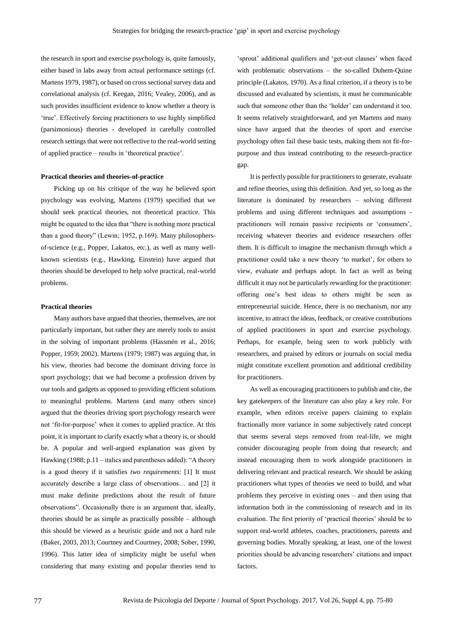the research in sport and exercise psychology is, quite famously, either based in labs away from actual performance settings (cf. Martens 1979, 1987), or based on cross sectional survey data and correlational analysis (cf. Keegan, 2016; Vealey, 2006), and as such provides insufficient evidence to know whether a theory is 'true'. Effectively forcing practitioners to use highly simplified (parsimonious) theories - developed in carefully controlled research settings that were not reflective to the real-world setting of applied practice – results in 'theoretical practice'.

#### **Practical theories and theories-of-practice**

Picking up on his critique of the way he believed sport psychology was evolving, Martens (1979) specified that we should seek practical theories, not theoretical practice. This might be equated to the idea that "there is nothing more practical than a good theory" (Lewin; 1952, p.169). Many philosophersof-science (e.g., Popper, Lakatos, etc.), as well as many wellknown scientists (e.g., Hawking, Einstein) have argued that theories should be developed to help solve practical, real-world problems.

#### **Practical theories**

Many authors have argued that theories, themselves, are not particularly important, but rather they are merely tools to assist in the solving of important problems (Hassmén et al., 2016; Popper, 1959; 2002). Martens (1979; 1987) was arguing that, in his view, theories had become the dominant driving force in sport psychology; that we had become a profession driven by our tools and gadgets as opposed to providing efficient solutions to meaningful problems. Martens (and many others since) argued that the theories driving sport psychology research were not 'fit-for-purpose' when it comes to applied practice. At this point, it is important to clarify exactly what a theory is, or should be. A popular and well-argued explanation was given by Hawking (1988; p.11 – italics and parentheses added): "A theory is a good theory if it satisfies *two requirements*: [1] It must accurately describe a large class of observations… and [2] it must make definite predictions about the result of future observations". Occasionally there is an argument that, ideally, theories should be as simple as practically possible – although this should be viewed as a heuristic guide and not a hard rule (Baker, 2003, 2013; Courtney and Courtney, 2008; Sober, 1990, 1996). This latter idea of simplicity might be useful when considering that many existing and popular theories tend to

'sprout' additional qualifiers and 'get-out clauses' when faced with problematic observations – the so-called Duhem-Quine principle (Lakatos, 1970). As a final criterion, if a theory is to be discussed and evaluated by scientists, it must be communicable such that someone other than the 'holder' can understand it too. It seems relatively straightforward, and yet Martens and many since have argued that the theories of sport and exercise psychology often fail these basic tests, making them not fit-forpurpose and thus instead contributing to the research-practice gap.

It is perfectly possible for practitioners to generate, evaluate and refine theories, using this definition. And yet, so long as the literature is dominated by researchers – solving different problems and using different techniques and assumptions practitioners will remain passive recipients or 'consumers', receiving whatever theories and evidence researchers offer them. It is difficult to imagine the mechanism through which a practitioner could take a new theory 'to market', for others to view, evaluate and perhaps adopt. In fact as well as being difficult it may not be particularly rewarding for the practitioner: offering one's best ideas to others might be seen as entrepreneurial suicide. Hence, there is no mechanism, nor any incentive, to attract the ideas, feedback, or creative contributions of applied practitioners in sport and exercise psychology. Perhaps, for example, being seen to work publicly with researchers, and praised by editors or journals on social media might constitute excellent promotion and additional credibility for practitioners.

As well as encouraging practitioners to publish and cite, the key gatekeepers of the literature can also play a key role. For example, when editors receive papers claiming to explain fractionally more variance in some subjectively rated concept that seems several steps removed from real-life, we might consider discouraging people from doing that research; and instead encouraging them to work alongside practitioners in delivering relevant and practical research. We should be asking practitioners what types of theories we need to build, and what problems they perceive in existing ones – and then using that information both in the commissioning of research and in its evaluation. The first priority of 'practical theories' should be to support real-world athletes, coaches, practitioners, parents and governing bodies. Morally speaking, at least, one of the lowest priorities should be advancing researchers' citations and impact factors.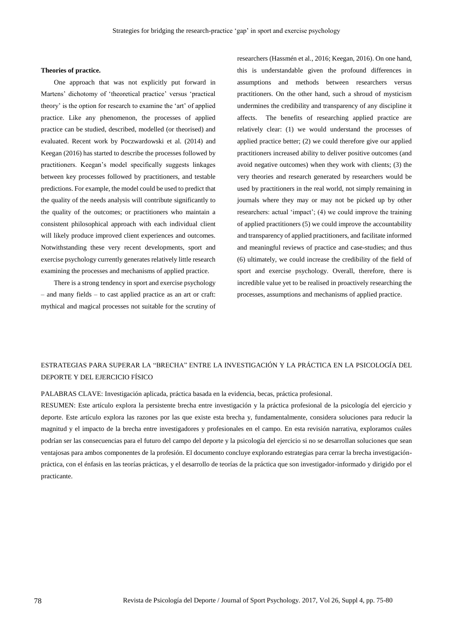## **Theories of practice.**

One approach that was not explicitly put forward in Martens' dichotomy of 'theoretical practice' versus 'practical theory' is the option for research to examine the 'art' of applied practice. Like any phenomenon, the processes of applied practice can be studied, described, modelled (or theorised) and evaluated. Recent work by Poczwardowski et al. (2014) and Keegan (2016) has started to describe the processes followed by practitioners. Keegan's model specifically suggests linkages between key processes followed by practitioners, and testable predictions. For example, the model could be used to predict that the quality of the needs analysis will contribute significantly to the quality of the outcomes; or practitioners who maintain a consistent philosophical approach with each individual client will likely produce improved client experiences and outcomes. Notwithstanding these very recent developments, sport and exercise psychology currently generates relatively little research examining the processes and mechanisms of applied practice.

There is a strong tendency in sport and exercise psychology – and many fields – to cast applied practice as an art or craft: mythical and magical processes not suitable for the scrutiny of researchers (Hassmén et al., 2016; Keegan, 2016). On one hand, this is understandable given the profound differences in assumptions and methods between researchers versus practitioners. On the other hand, such a shroud of mysticism undermines the credibility and transparency of any discipline it affects. The benefits of researching applied practice are relatively clear: (1) we would understand the processes of applied practice better; (2) we could therefore give our applied practitioners increased ability to deliver positive outcomes (and avoid negative outcomes) when they work with clients; (3) the very theories and research generated by researchers would be used by practitioners in the real world, not simply remaining in journals where they may or may not be picked up by other researchers: actual 'impact'; (4) we could improve the training of applied practitioners (5) we could improve the accountability and transparency of applied practitioners, and facilitate informed and meaningful reviews of practice and case-studies; and thus (6) ultimately, we could increase the credibility of the field of sport and exercise psychology. Overall, therefore, there is incredible value yet to be realised in proactively researching the processes, assumptions and mechanisms of applied practice.

# ESTRATEGIAS PARA SUPERAR LA "BRECHA" ENTRE LA INVESTIGACIÓN Y LA PRÁCTICA EN LA PSICOLOGÍA DEL DEPORTE Y DEL EJERCICIO FÍSICO

PALABRAS CLAVE: Investigación aplicada, práctica basada en la evidencia, becas, práctica profesional.

RESUMEN: Este artículo explora la persistente brecha entre investigación y la práctica profesional de la psicología del ejercicio y deporte. Este artículo explora las razones por las que existe esta brecha y, fundamentalmente, considera soluciones para reducir la magnitud y el impacto de la brecha entre investigadores y profesionales en el campo. En esta revisión narrativa, exploramos cuáles podrían ser las consecuencias para el futuro del campo del deporte y la psicología del ejercicio si no se desarrollan soluciones que sean ventajosas para ambos componentes de la profesión. El documento concluye explorando estrategias para cerrar la brecha investigaciónpráctica, con el énfasis en las teorías prácticas, y el desarrollo de teorías de la práctica que son investigador-informado y dirigido por el practicante.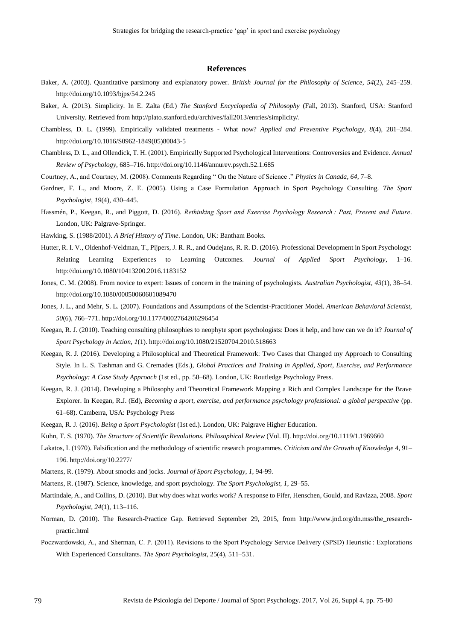## **References**

- Baker, A. (2003). Quantitative parsimony and explanatory power. *British Journal for the Philosophy of Science*, *54*(2), 245–259. http://doi.org/10.1093/bjps/54.2.245
- Baker, A. (2013). Simplicity. In E. Zalta (Ed.) *The Stanford Encyclopedia of Philosophy* (Fall, 2013). Stanford, USA: Stanford University. Retrieved from http://plato.stanford.edu/archives/fall2013/entries/simplicity/.
- Chambless, D. L. (1999). Empirically validated treatments What now? *Applied and Preventive Psychology*, *8*(4), 281–284. http://doi.org/10.1016/S0962-1849(05)80043-5
- Chambless, D. L., and Ollendick, T. H. (2001). Empirically Supported Psychological Interventions: Controversies and Evidence. *Annual Review of Psychology*, 685–716. http://doi.org/10.1146/annurev.psych.52.1.685
- Courtney, A., and Courtney, M. (2008). Comments Regarding " On the Nature of Science ." *Physics in Canada*, *64*, 7–8.
- Gardner, F. L., and Moore, Z. E. (2005). Using a Case Formulation Approach in Sport Psychology Consulting. *The Sport Psychologist*, *19*(4), 430–445.
- Hassmén, P., Keegan, R., and Piggott, D. (2016). *Rethinking Sport and Exercise Psychology Research : Past, Present and Future*. London, UK: Palgrave-Springer.
- Hawking, S. (1988/2001). *A Brief History of Time*. London, UK: Bantham Books.
- Hutter, R. I. V., Oldenhof-Veldman, T., Pijpers, J. R. R., and Oudejans, R. R. D. (2016). Professional Development in Sport Psychology: Relating Learning Experiences to Learning Outcomes. *Journal of Applied Sport Psychology*, 1–16. http://doi.org/10.1080/10413200.2016.1183152
- Jones, C. M. (2008). From novice to expert: Issues of concern in the training of psychologists. *Australian Psychologist*, *43*(1), 38–54. http://doi.org/10.1080/00050060601089470
- Jones, J. L., and Mehr, S. L. (2007). Foundations and Assumptions of the Scientist-Practitioner Model. *American Behavioral Scientist*, *50*(6), 766–771. http://doi.org/10.1177/0002764206296454
- Keegan, R. J. (2010). Teaching consulting philosophies to neophyte sport psychologists: Does it help, and how can we do it? *Journal of Sport Psychology in Action*, *1*(1). http://doi.org/10.1080/21520704.2010.518663
- Keegan, R. J. (2016). Developing a Philosophical and Theoretical Framework: Two Cases that Changed my Approach to Consulting Style. In L. S. Tashman and G. Cremades (Eds.), *Global Practices and Training in Applied, Sport, Exercise, and Performance Psychology: A Case Study Approach* (1st ed., pp. 58–68). London, UK: Routledge Psychology Press.
- Keegan, R. J. (2014). Developing a Philosophy and Theoretical Framework Mapping a Rich and Complex Landscape for the Brave Explorer. In Keegan, R.J. (Ed), *Becoming a sport, exercise, and performance psychology professional: a global perspective* (pp. 61–68). Camberra, USA: Psychology Press
- Keegan, R. J. (2016). *Being a Sport Psychologist* (1st ed.). London, UK: Palgrave Higher Education.
- Kuhn, T. S. (1970). *The Structure of Scientific Revolutions*. *Philosophical Review* (Vol. II). http://doi.org/10.1119/1.1969660
- Lakatos, I. (1970). Falsification and the methodology of scientific research programmes. *Criticism and the Growth of Knowledge* 4, 91– 196. http://doi.org/10.2277/
- Martens, R. (1979). About smocks and jocks. *Journal of Sport Psychology*, *1*, 94-99.
- Martens, R. (1987). Science, knowledge, and sport psychology. *The Sport Psychologist*, *1*, 29–55.
- Martindale, A., and Collins, D. (2010). But why does what works work? A response to Fifer, Henschen, Gould, and Ravizza, 2008. *Sport Psychologist*, *24*(1), 113–116.
- Norman, D. (2010). The Research-Practice Gap. Retrieved September 29, 2015, from http://www.jnd.org/dn.mss/the\_researchpractic.html
- Poczwardowski, A., and Sherman, C. P. (2011). Revisions to the Sport Psychology Service Delivery (SPSD) Heuristic : Explorations With Experienced Consultants. *The Sport Psychologist*, 25(4), 511–531.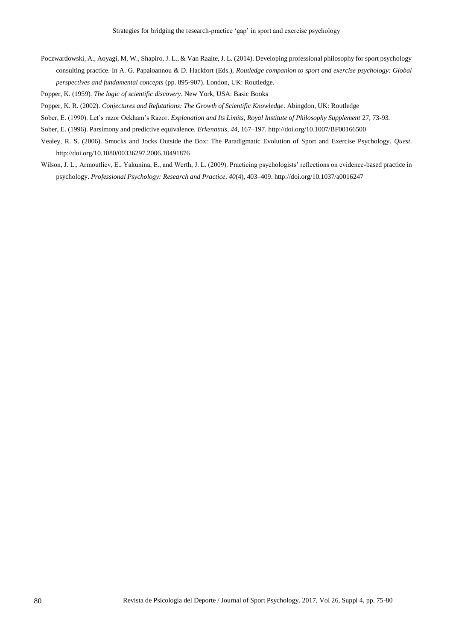- Poczwardowski, A., Aoyagi, M. W., Shapiro, J. L., & Van Raalte, J. L. (2014). Developing professional philosophy for sport psychology consulting practice. In A. G. Papaioannou & D. Hackfort (Eds.), *Routledge companion to sport and exercise psychology: Global perspectives and fundamental concepts* (pp. 895-907). London, UK: Routledge.
- Popper, K. (1959). *The logic of scientific discovery*. New York, USA: Basic Books
- Popper, K. R. (2002). *Conjectures and Refutations: The Growth of Scientific Knowledge*. Abingdon, UK: Routledge
- Sober, E. (1990). Let's razor Ockham's Razor. *Explanation and Its Limits, Royal Institute of Philosophy Supplement 27, 73-93.*
- Sober, E. (1996). Parsimony and predictive equivalence. *Erkenntnis*, *44*, 167–197. http://doi.org/10.1007/BF00166500
- Vealey, R. S. (2006). Smocks and Jocks Outside the Box: The Paradigmatic Evolution of Sport and Exercise Psychology. *Quest*. http://doi.org/10.1080/00336297.2006.10491876
- Wilson, J. L., Armoutliev, E., Yakunina, E., and Werth, J. L. (2009). Practicing psychologists' reflections on evidence-based practice in psychology. *Professional Psychology: Research and Practice*, *40*(4), 403–409. http://doi.org/10.1037/a0016247